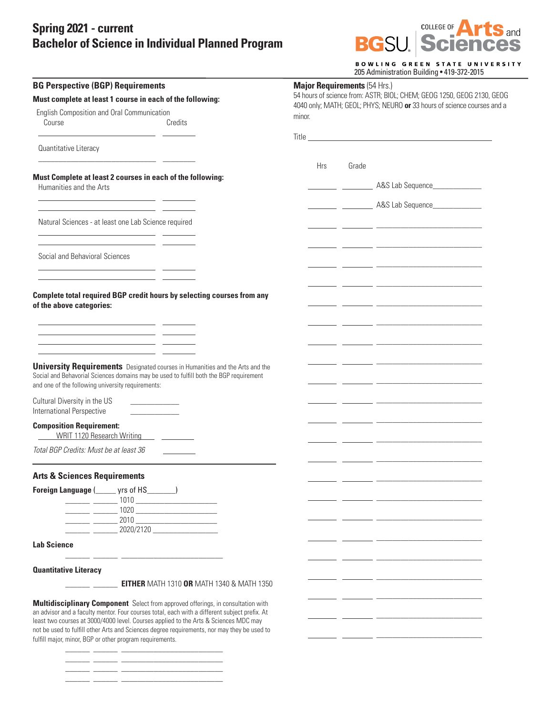## **Spring 2021 - current Bachelor of Science in Individual Planned Program**

\_\_\_\_\_\_ \_\_\_\_\_\_ \_\_\_\_\_\_\_\_\_\_\_\_\_\_\_\_\_\_\_\_\_\_\_\_\_ \_\_\_\_\_\_ \_\_\_\_\_\_ \_\_\_\_\_\_\_\_\_\_\_\_\_\_\_\_\_\_\_\_\_\_\_\_\_



BOWLING GREEN STATE UNIVERSITY<br>205 Administration Building • 419-372-2015

| <b>BG Perspective (BGP) Requirements</b><br>Must complete at least 1 course in each of the following:                                                                                                                                                                                                                                                             |  | 1100122010<br><b>Major Requirements (54 Hrs.)</b><br>54 hours of science from: ASTR; BIOL; CHEM; GEOG 1250, GEOG 2130, GEOG<br>4040 only; MATH; GEOL; PHYS; NEURO or 33 hours of science courses and a |       |                                                              |  |  |
|-------------------------------------------------------------------------------------------------------------------------------------------------------------------------------------------------------------------------------------------------------------------------------------------------------------------------------------------------------------------|--|--------------------------------------------------------------------------------------------------------------------------------------------------------------------------------------------------------|-------|--------------------------------------------------------------|--|--|
|                                                                                                                                                                                                                                                                                                                                                                   |  |                                                                                                                                                                                                        |       |                                                              |  |  |
| Course<br>Credits                                                                                                                                                                                                                                                                                                                                                 |  |                                                                                                                                                                                                        |       |                                                              |  |  |
| Quantitative Literacy                                                                                                                                                                                                                                                                                                                                             |  |                                                                                                                                                                                                        |       |                                                              |  |  |
| <u> 1989 - Johann Stoff, fransk politik (d. 1989)</u>                                                                                                                                                                                                                                                                                                             |  | <b>Hrs</b>                                                                                                                                                                                             | Grade |                                                              |  |  |
| Must Complete at least 2 courses in each of the following:<br>Humanities and the Arts                                                                                                                                                                                                                                                                             |  |                                                                                                                                                                                                        |       | ___________ _____________ A&S Lab Sequence__________________ |  |  |
| the control of the control of the control of the control of                                                                                                                                                                                                                                                                                                       |  |                                                                                                                                                                                                        |       |                                                              |  |  |
| Natural Sciences - at least one Lab Science required<br><u> 1989 - Johann Marie Barn, mars eta inperiodo</u>                                                                                                                                                                                                                                                      |  |                                                                                                                                                                                                        |       |                                                              |  |  |
| <u> 1989 - Johann Stone, mars et al. (b. 1989)</u><br>Social and Behavioral Sciences                                                                                                                                                                                                                                                                              |  |                                                                                                                                                                                                        |       |                                                              |  |  |
| <u> 1989 - Johann Barn, fransk politik (f. 1989)</u><br><u> 1986 - Andrea Andrew Maria III, martin a f</u>                                                                                                                                                                                                                                                        |  |                                                                                                                                                                                                        |       |                                                              |  |  |
| Complete total required BGP credit hours by selecting courses from any<br>of the above categories:                                                                                                                                                                                                                                                                |  |                                                                                                                                                                                                        |       |                                                              |  |  |
| <u> 1989 - Johann Harry Harry Harry Harry Harry Harry Harry Harry Harry Harry Harry Harry Harry Harry Harry Harry</u><br><u> 1989 - Johann Barn, mars et al. (b. 1989)</u>                                                                                                                                                                                        |  |                                                                                                                                                                                                        |       |                                                              |  |  |
| <u> 1989 - Johann John Stone, markin film yn y system yn y system yn y system yn y system yn y system yn y system</u>                                                                                                                                                                                                                                             |  |                                                                                                                                                                                                        |       |                                                              |  |  |
| <b>University Requirements</b> Designated courses in Humanities and the Arts and the<br>Social and Behavorial Sciences domains may be used to fulfill both the BGP requirement<br>and one of the following university requirements:                                                                                                                               |  |                                                                                                                                                                                                        |       |                                                              |  |  |
| Cultural Diversity in the US<br><u> 1990 - Johann Barbara, martin a</u><br>International Perspective                                                                                                                                                                                                                                                              |  |                                                                                                                                                                                                        |       |                                                              |  |  |
| <b>Composition Requirement:</b><br>WRIT 1120 Research Writing ______________                                                                                                                                                                                                                                                                                      |  |                                                                                                                                                                                                        |       |                                                              |  |  |
| Total BGP Credits: Must be at least 36                                                                                                                                                                                                                                                                                                                            |  |                                                                                                                                                                                                        |       |                                                              |  |  |
| <b>Arts &amp; Sciences Requirements</b>                                                                                                                                                                                                                                                                                                                           |  |                                                                                                                                                                                                        |       |                                                              |  |  |
| Foreign Language (______ yrs of HS_______)<br>$\frac{1}{2}$ $\frac{1}{2}$ $\frac{1}{2}$ $\frac{1}{2}$ $\frac{1}{2}$ $\frac{1}{2}$ $\frac{1}{2}$ $\frac{1}{2}$ $\frac{1}{2}$ $\frac{1}{2}$ $\frac{1}{2}$ $\frac{1}{2}$ $\frac{1}{2}$ $\frac{1}{2}$ $\frac{1}{2}$ $\frac{1}{2}$ $\frac{1}{2}$ $\frac{1}{2}$ $\frac{1}{2}$ $\frac{1}{2}$ $\frac{1}{2}$ $\frac{1}{2}$ |  |                                                                                                                                                                                                        |       |                                                              |  |  |
| $\begin{array}{c} \n 1020 \end{array}$<br><u>and the state</u><br>$2010$<br><u> 1999 - Jan Ja</u>                                                                                                                                                                                                                                                                 |  |                                                                                                                                                                                                        |       |                                                              |  |  |
| 2020/2120                                                                                                                                                                                                                                                                                                                                                         |  |                                                                                                                                                                                                        |       |                                                              |  |  |
| <b>Lab Science</b>                                                                                                                                                                                                                                                                                                                                                |  |                                                                                                                                                                                                        |       |                                                              |  |  |
| <b>Quantitative Literacy</b>                                                                                                                                                                                                                                                                                                                                      |  |                                                                                                                                                                                                        |       |                                                              |  |  |
| <b>EITHER MATH 1310 OR MATH 1340 &amp; MATH 1350</b>                                                                                                                                                                                                                                                                                                              |  |                                                                                                                                                                                                        |       |                                                              |  |  |
| Multidisciplinary Component Select from approved offerings, in consultation with<br>an advisor and a faculty mentor. Four courses total, each with a different subject prefix. At                                                                                                                                                                                 |  |                                                                                                                                                                                                        |       |                                                              |  |  |
| least two courses at 3000/4000 level. Courses applied to the Arts & Sciences MDC may<br>not be used to fulfill other Arts and Sciences degree requirements, nor may they be used to<br>fulfill major, minor, BGP or other program requirements.                                                                                                                   |  |                                                                                                                                                                                                        |       |                                                              |  |  |
|                                                                                                                                                                                                                                                                                                                                                                   |  |                                                                                                                                                                                                        |       |                                                              |  |  |